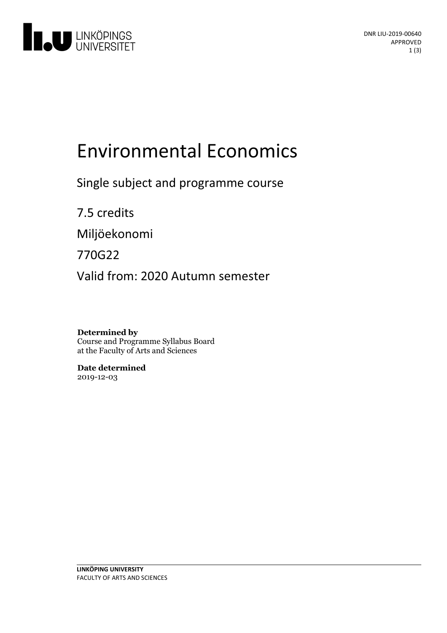

# **Environmental Economics**

Single subject and programme course

7.5 credits

Miljöekonomi

770G22

Valid from: 2020 Autumn semester

**Determined by** Course and Programme Syllabus Board at the Faculty of Arts and Sciences

**Date determined** 2019-12-03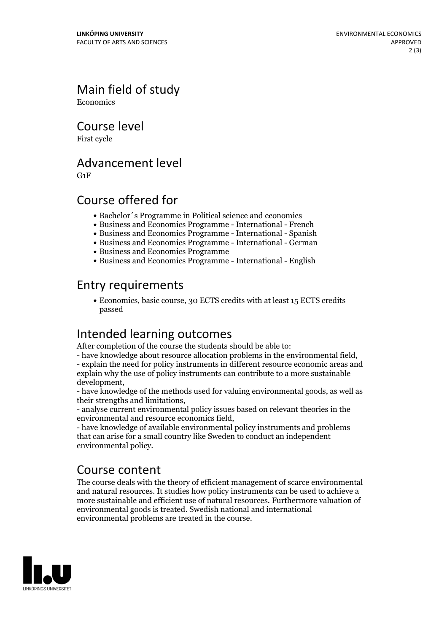Main field of study **Economics** 

Course level

First cycle

#### Advancement level

G1F

## Course offered for

- Bachelor´s Programme in Political science and economics
- Business and Economics Programme International French
- Business and Economics Programme International Spanish
- Business and Economics Programme International German
- Business and Economics Programme
- Business and Economics Programme International English

## Entry requirements

Economics, basic course, 30 ECTS credits with at least 15 ECTS credits passed

# Intended learning outcomes<br>After completion of the course the students should be able to:

- have knowledge about resource allocation problems in the environmental field,<br>- explain the need for policy instruments in different resource economic areas and explain why the use of policy instruments can contribute to a more sustainable development,<br>- have knowledge of the methods used for valuing environmental goods, as well as

their strengths and limitations,

- analyse current environmental policy issues based on relevant theories in the environmental and resource economics field,<br>- have knowledge of available environmental policy instruments and problems

that can arise for a small country like Sweden to conduct an independent environmental policy.

#### Course content

The course deals with the theory of efficient management of scarce environmental and natural resources. It studies how policy instruments can be used to achieve a more sustainable and efficient use of natural resources. Furthermore valuation of environmental goods is treated. Swedish national and international environmental problems are treated in the course.